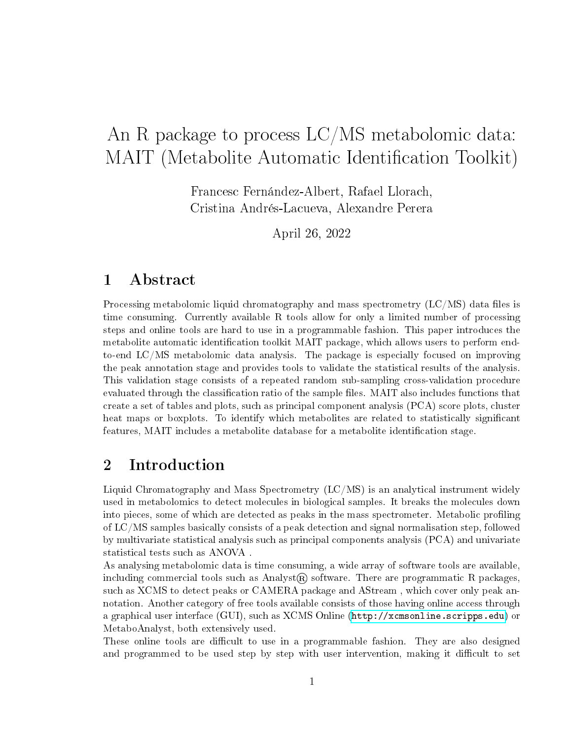# An R package to process LC/MS metabolomic data: MAIT (Metabolite Automatic Identification Toolkit)

Francesc Fernández-Albert, Rafael Llorach, Cristina Andrés-Lacueva, Alexandre Perera

April 26, 2022

## 1 Abstract

Processing metabolomic liquid chromatography and mass spectrometry  $(LC/MS)$  data files is time consuming. Currently available R tools allow for only a limited number of processing steps and online tools are hard to use in a programmable fashion. This paper introduces the metabolite automatic identification toolkit MAIT package, which allows users to perform endto-end LC/MS metabolomic data analysis. The package is especially focused on improving the peak annotation stage and provides tools to validate the statistical results of the analysis. This validation stage consists of a repeated random sub-sampling cross-validation procedure evaluated through the classification ratio of the sample files. MAIT also includes functions that create a set of tables and plots, such as principal component analysis (PCA) score plots, cluster heat maps or boxplots. To identify which metabolites are related to statistically significant features, MAIT includes a metabolite database for a metabolite identification stage.

## 2 Introduction

Liquid Chromatography and Mass Spectrometry (LC/MS) is an analytical instrument widely used in metabolomics to detect molecules in biological samples. It breaks the molecules down into pieces, some of which are detected as peaks in the mass spectrometer. Metabolic profiling of LC/MS samples basically consists of a peak detection and signal normalisation step, followed by multivariate statistical analysis such as principal components analysis (PCA) and univariate statistical tests such as ANOVA .

As analysing metabolomic data is time consuming, a wide array of software tools are available, including commercial tools such as Analyst<sub>(R)</sub> software. There are programmatic R packages, such as XCMS to detect peaks or CAMERA package and AStream , which cover only peak annotation. Another category of free tools available consists of those having online access through a graphical user interface (GUI), such as XCMS Online [\(http://xcmsonline.scripps.edu\)](http://xcmsonline.scripps.edu) or MetaboAnalyst, both extensively used.

These online tools are difficult to use in a programmable fashion. They are also designed and programmed to be used step by step with user intervention, making it difficult to set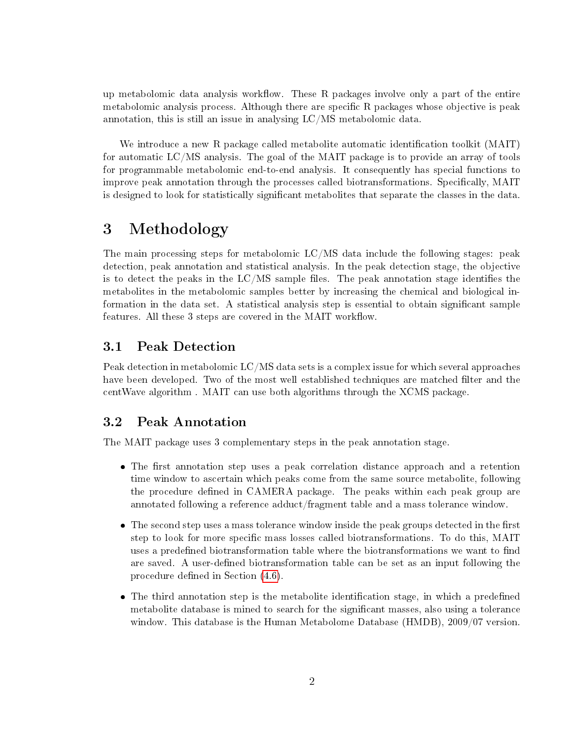up metabolomic data analysis workflow. These  $R$  packages involve only a part of the entire metabolomic analysis process. Although there are specific  $R$  packages whose objective is peak annotation, this is still an issue in analysing LC/MS metabolomic data.

We introduce a new R package called metabolite automatic identification toolkit  $(MAIT)$ for automatic LC/MS analysis. The goal of the MAIT package is to provide an array of tools for programmable metabolomic end-to-end analysis. It consequently has special functions to improve peak annotation through the processes called biotransformations. Specifically, MAIT is designed to look for statistically significant metabolites that separate the classes in the data.

## 3 Methodology

The main processing steps for metabolomic  $LC/MS$  data include the following stages: peak detection, peak annotation and statistical analysis. In the peak detection stage, the objective is to detect the peaks in the  $LC/MS$  sample files. The peak annotation stage identifies the metabolites in the metabolomic samples better by increasing the chemical and biological information in the data set. A statistical analysis step is essential to obtain signicant sample features. All these 3 steps are covered in the MAIT workflow.

## 3.1 Peak Detection

Peak detection in metabolomic LC/MS data sets is a complex issue for which several approaches have been developed. Two of the most well established techniques are matched filter and the centWave algorithm . MAIT can use both algorithms through the XCMS package.

## 3.2 Peak Annotation

The MAIT package uses 3 complementary steps in the peak annotation stage.

- The first annotation step uses a peak correlation distance approach and a retention time window to ascertain which peaks come from the same source metabolite, following the procedure defined in CAMERA package. The peaks within each peak group are annotated following a reference adduct/fragment table and a mass tolerance window.
- $\bullet$  The second step uses a mass tolerance window inside the peak groups detected in the first step to look for more specific mass losses called biotransformations. To do this, MAIT uses a predefined biotransformation table where the biotransformations we want to find are saved. A user-defined biotransformation table can be set as an input following the procedure defined in Section  $(4.6)$ .
- The third annotation step is the metabolite identification stage, in which a predefined metabolite database is mined to search for the significant masses, also using a tolerance window. This database is the Human Metabolome Database (HMDB), 2009/07 version.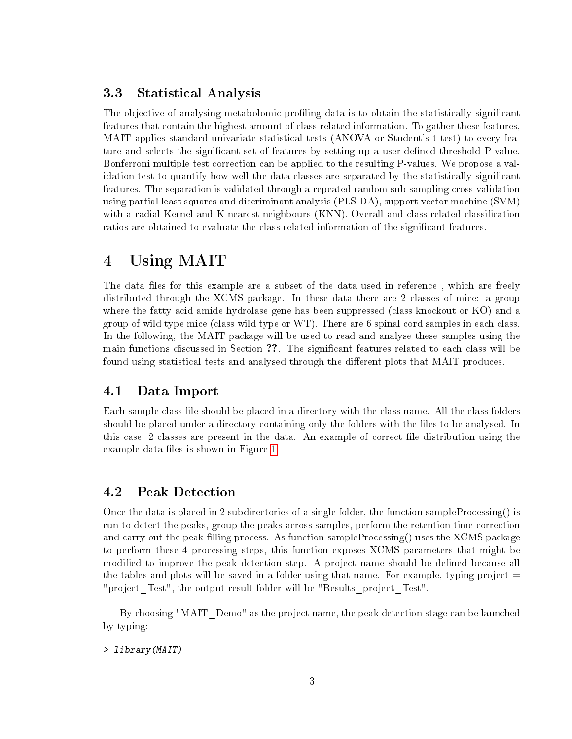### 3.3 Statistical Analysis

The objective of analysing metabolomic profiling data is to obtain the statistically significant features that contain the highest amount of class-related information. To gather these features, MAIT applies standard univariate statistical tests (ANOVA or Student's t-test) to every feature and selects the significant set of features by setting up a user-defined threshold P-value. Bonferroni multiple test correction can be applied to the resulting P-values. We propose a validation test to quantify how well the data classes are separated by the statistically signicant features. The separation is validated through a repeated random sub-sampling cross-validation using partial least squares and discriminant analysis (PLS-DA), support vector machine (SVM) with a radial Kernel and K-nearest neighbours (KNN). Overall and class-related classification ratios are obtained to evaluate the class-related information of the significant features.

## 4 Using MAIT

The data files for this example are a subset of the data used in reference, which are freely distributed through the XCMS package. In these data there are 2 classes of mice: a group where the fatty acid amide hydrolase gene has been suppressed (class knockout or KO) and a group of wild type mice (class wild type or WT). There are 6 spinal cord samples in each class. In the following, the MAIT package will be used to read and analyse these samples using the main functions discussed in Section ??. The significant features related to each class will be found using statistical tests and analysed through the different plots that MAIT produces.

## 4.1 Data Import

Each sample class file should be placed in a directory with the class name. All the class folders should be placed under a directory containing only the folders with the files to be analysed. In this case, 2 classes are present in the data. An example of correct file distribution using the example data files is shown in Figure [1.](#page-3-0)

### 4.2 Peak Detection

Once the data is placed in 2 subdirectories of a single folder, the function sampleProcessing() is run to detect the peaks, group the peaks across samples, perform the retention time correction and carry out the peak filling process. As function sampleProcessing() uses the XCMS package to perform these 4 processing steps, this function exposes XCMS parameters that might be modified to improve the peak detection step. A project name should be defined because all the tables and plots will be saved in a folder using that name. For example, typing project  $=$ "project Test", the output result folder will be "Results project Test".

By choosing "MAIT\_Demo" as the project name, the peak detection stage can be launched by typing:

#### > library(MAIT)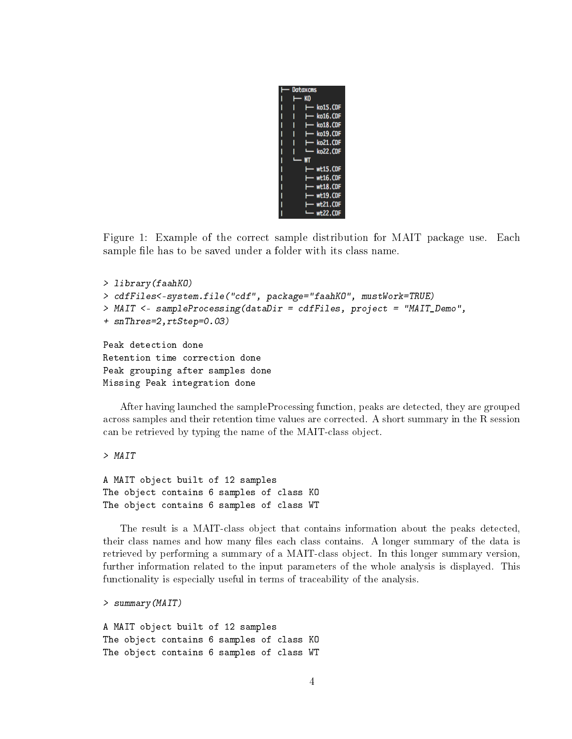

<span id="page-3-0"></span>Figure 1: Example of the correct sample distribution for MAIT package use. Each sample file has to be saved under a folder with its class name.

```
> library(faahKO)
> cdfFiles<-system.file("cdf", package="faahKO", mustWork=TRUE)
> MAIT <- sampleProcessing(dataDir = cdfFiles, project = "MAIT_Demo",
+ snThres=2,rtStep=0.03)
Peak detection done
Retention time correction done
Peak grouping after samples done
Missing Peak integration done
```
After having launched the sampleProcessing function, peaks are detected, they are grouped across samples and their retention time values are corrected. A short summary in the R session can be retrieved by typing the name of the MAIT-class object.

> MAIT

```
A MAIT object built of 12 samples
The object contains 6 samples of class KO
The object contains 6 samples of class WT
```
The result is a MAIT-class object that contains information about the peaks detected, their class names and how many files each class contains. A longer summary of the data is retrieved by performing a summary of a MAIT-class object. In this longer summary version, further information related to the input parameters of the whole analysis is displayed. This functionality is especially useful in terms of traceability of the analysis.

```
> summary(MAIT)
```
A MAIT object built of 12 samples The object contains 6 samples of class KO The object contains 6 samples of class WT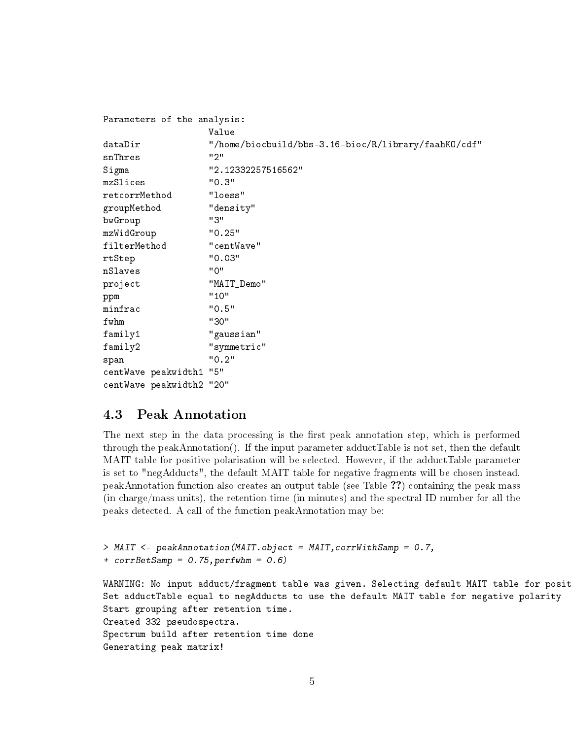| Parameters of the analysis: |                                                      |
|-----------------------------|------------------------------------------------------|
|                             | Value                                                |
| dataDir                     | "/home/biocbuild/bbs-3.16-bioc/R/library/faahKO/cdf" |
| snThres                     | "2"                                                  |
| Sigma                       | "2.12332257516562"                                   |
| mzSlices                    | "0.3"                                                |
| retcorrMethod               | "loess"                                              |
| groupMethod                 | "density"                                            |
| bwGroup                     | "3"                                                  |
| mzWidGroup                  | "0.25"                                               |
| filterMethod                | "centWave"                                           |
| rtStep                      | "0.03"                                               |
| nSlaves                     | "0"                                                  |
| project                     | "MAIT_Demo"                                          |
| ppm                         | "10"                                                 |
| minfrac                     | "0.5"                                                |
| fwhm                        | "30"                                                 |
| family1                     | "gaussian"                                           |
| family2                     | "symmetric"                                          |
| span                        | "0.2"                                                |
| centWave peakwidth1         | "5"                                                  |
| centWave peakwidth2         | "20"                                                 |

### 4.3 Peak Annotation

The next step in the data processing is the first peak annotation step, which is performed through the peakAnnotation(). If the input parameter adductTable is not set, then the default MAIT table for positive polarisation will be selected. However, if the adductTable parameter is set to "negAdducts", the default MAIT table for negative fragments will be chosen instead. peakAnnotation function also creates an output table (see Table ??) containing the peak mass (in charge/mass units), the retention time (in minutes) and the spectral ID number for all the peaks detected. A call of the function peakAnnotation may be:

```
> MAIT <- peakAnnotation(MAIT.object = MAIT,corrWithSamp = 0.7,
+ corrBetsamp = 0.75, perfwhm = 0.6WARNING: No input adduct/fragment table was given. Selecting default MAIT table for posit
Set adductTable equal to negAdducts to use the default MAIT table for negative polarity
Start grouping after retention time.
Created 332 pseudospectra.
Spectrum build after retention time done
Generating peak matrix!
```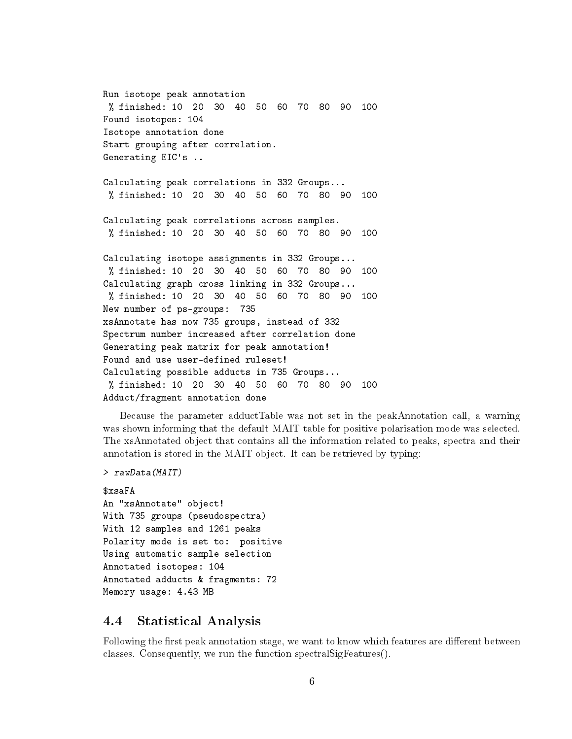Run isotope peak annotation % finished: 10 20 30 40 50 60 70 80 90 100 Found isotopes: 104 Isotope annotation done Start grouping after correlation. Generating EIC's ..

Calculating peak correlations in 332 Groups... % finished: 10 20 30 40 50 60 70 80 90 100

Calculating peak correlations across samples. % finished: 10 20 30 40 50 60 70 80 90 100

Calculating isotope assignments in 332 Groups... % finished: 10 20 30 40 50 60 70 80 90 100 Calculating graph cross linking in 332 Groups... % finished: 10 20 30 40 50 60 70 80 90 100 New number of ps-groups: 735 xsAnnotate has now 735 groups, instead of 332 Spectrum number increased after correlation done Generating peak matrix for peak annotation! Found and use user-defined ruleset! Calculating possible adducts in 735 Groups... % finished: 10 20 30 40 50 60 70 80 90 100 Adduct/fragment annotation done

Because the parameter adductTable was not set in the peakAnnotation call, a warning was shown informing that the default MAIT table for positive polarisation mode was selected. The xsAnnotated object that contains all the information related to peaks, spectra and their annotation is stored in the MAIT object. It can be retrieved by typing:

```
> rawData(MAIT)
```

```
$xsaFA
An "xsAnnotate" object!
With 735 groups (pseudospectra)
With 12 samples and 1261 peaks
Polarity mode is set to: positive
Using automatic sample selection
Annotated isotopes: 104
Annotated adducts & fragments: 72
Memory usage: 4.43 MB
```
### 4.4 Statistical Analysis

Following the first peak annotation stage, we want to know which features are different between classes. Consequently, we run the function spectralSigFeatures().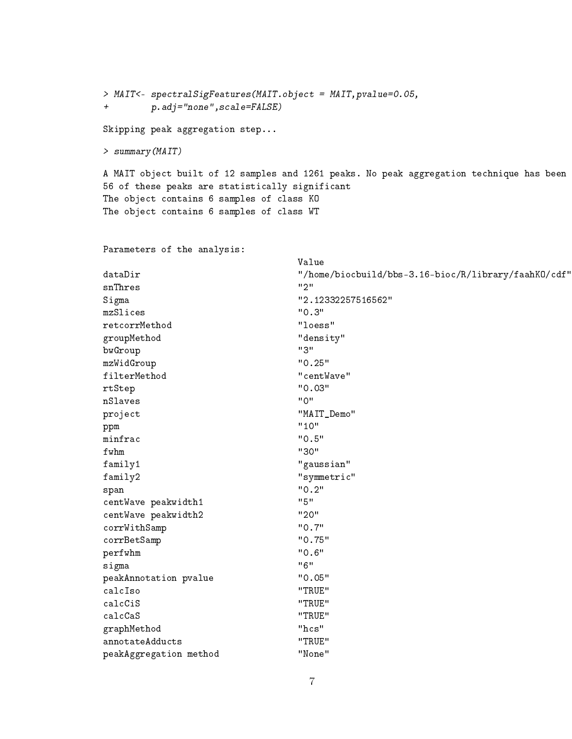> MAIT<- spectralSigFeatures(MAIT.object = MAIT,pvalue=0.05, + p.adj="none",scale=FALSE)

Skipping peak aggregation step...

> summary(MAIT)

A MAIT object built of 12 samples and 1261 peaks. No peak aggregation technique has been 56 of these peaks are statistically significant The object contains 6 samples of class KO The object contains 6 samples of class WT

Parameters of the analysis:

|                        | Value                                                |
|------------------------|------------------------------------------------------|
| dataDir                | "/home/biocbuild/bbs-3.16-bioc/R/library/faahKO/cdf" |
| snThres                | "2"                                                  |
| Sigma                  | "2.12332257516562"                                   |
| mzSlices               | "0.3"                                                |
| retcorrMethod          | "loess"                                              |
| groupMethod            | "density"                                            |
| bwGroup                | "3"                                                  |
| mzWidGroup             | "0.25"                                               |
| filterMethod           | "centWave"                                           |
| rtStep                 | "0.03"                                               |
| nSlaves                | "0"                                                  |
| project                | "MAIT_Demo"                                          |
| ppm                    | "10"                                                 |
| minfrac                | "0.5"                                                |
| fwhm                   | "30"                                                 |
| family1                | "gaussian"                                           |
| family2                | "symmetric"                                          |
| span                   | "0.2"                                                |
| centWave peakwidth1    | "5"                                                  |
| centWave peakwidth2    | "20"                                                 |
| corrWithSamp           | "0.7"                                                |
| corrBetSamp            | "0.75"                                               |
| perfwhm                | "0.6"                                                |
| sigma                  | "6"                                                  |
| peakAnnotation pvalue  | "0.05"                                               |
| calcIso                | "TRUE"                                               |
| calcCiS                | "TRUE"                                               |
| calcCaS                | "TRUE"                                               |
| graphMethod            | $"$ hcs"                                             |
| annotateAdducts        | "TRUE"                                               |
| peakAggregation method | "None"                                               |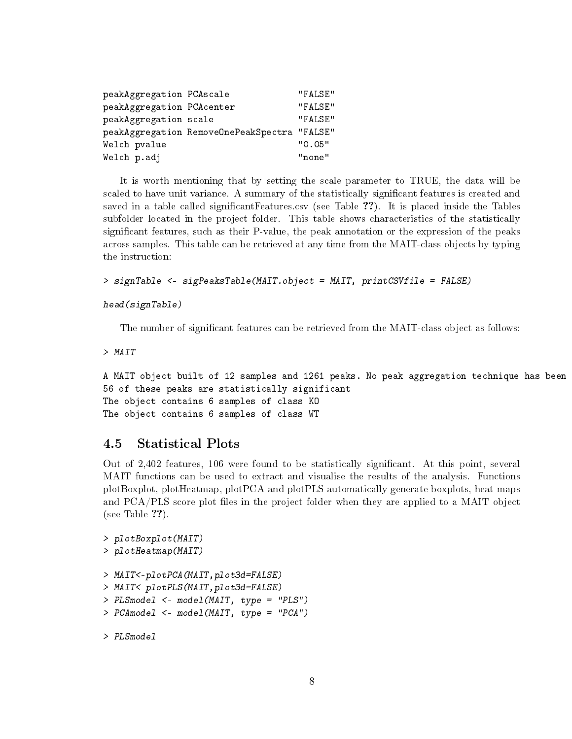| peakAggregation PCAscale  |                                              | "FALSE" |
|---------------------------|----------------------------------------------|---------|
| peakAggregation PCAcenter |                                              | "FALSE" |
| peakAggregation scale     |                                              | "FALSE" |
|                           | peakAggregation RemoveOnePeakSpectra "FALSE" |         |
| Welch pvalue              |                                              | "0.05"  |
| Welch p.adj               |                                              | "none"  |

It is worth mentioning that by setting the scale parameter to TRUE, the data will be scaled to have unit variance. A summary of the statistically significant features is created and saved in a table called significant Features.csv (see Table ??). It is placed inside the Tables subfolder located in the project folder. This table shows characteristics of the statistically significant features, such as their P-value, the peak annotation or the expression of the peaks across samples. This table can be retrieved at any time from the MAIT-class objects by typing the instruction:

```
> signTable <- sigPeaksTable(MAIT.object = MAIT, printCSVfile = FALSE)
```
#### head(signTable)

The number of significant features can be retrieved from the MAIT-class object as follows:

> MAIT

```
A MAIT object built of 12 samples and 1261 peaks. No peak aggregation technique has been
56 of these peaks are statistically significant
The object contains 6 samples of class KO
The object contains 6 samples of class WT
```
## 4.5 Statistical Plots

Out of 2,402 features, 106 were found to be statistically signicant. At this point, several MAIT functions can be used to extract and visualise the results of the analysis. Functions plotBoxplot, plotHeatmap, plotPCA and plotPLS automatically generate boxplots, heat maps and PCA/PLS score plot files in the project folder when they are applied to a MAIT object (see Table ??).

```
> plotBoxplot(MAIT)
> plotHeatmap(MAIT)
> MAIT<-plotPCA(MAIT,plot3d=FALSE)
> MAIT<-plotPLS(MAIT,plot3d=FALSE)
> PLSmodel <- model(MAIT, type = "PLS")
> PCAmodel <- model(MAIT, type = "PCA")
```
> PLSmodel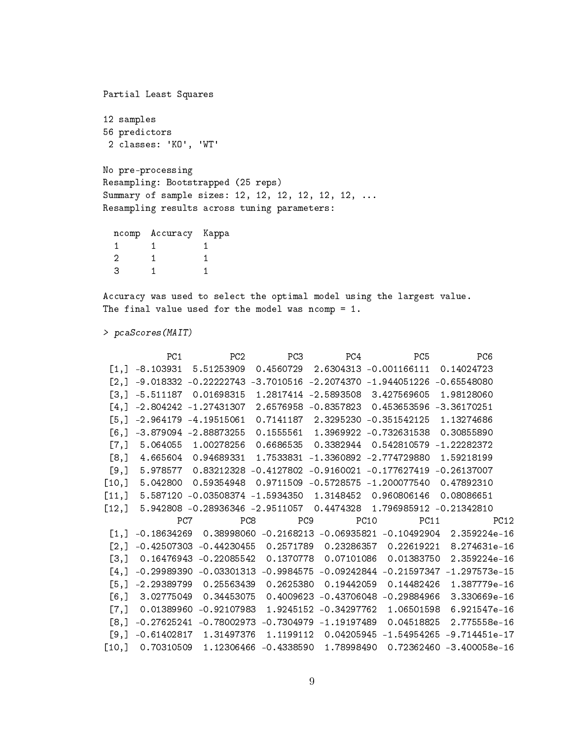Partial Least Squares 12 samples 56 predictors 2 classes: 'KO', 'WT' No pre-processing Resampling: Bootstrapped (25 reps) Summary of sample sizes: 12, 12, 12, 12, 12, 12, ... Resampling results across tuning parameters:

|   | ncomp Accuracy | Kappa |
|---|----------------|-------|
|   |                |       |
| 2 |                |       |
| З |                |       |

Accuracy was used to select the optimal model using the largest value. The final value used for the model was ncomp =  $1$ .

> pcaScores(MAIT)

|                         | PC1      | PC <sub>2</sub>                                  | PC3       | PC4                   | PC5                                                                        | PC6                                                                                  |
|-------------------------|----------|--------------------------------------------------|-----------|-----------------------|----------------------------------------------------------------------------|--------------------------------------------------------------------------------------|
|                         |          | $[1,]$ -8.103931 5.51253909                      |           |                       | $0.4560729$ 2.6304313 -0.001166111                                         | 0.14024723                                                                           |
|                         |          |                                                  |           |                       | $[2,]$ -9.018332 -0.2222743 -3.7010516 -2.2074370 -1.944051226 -0.65548080 |                                                                                      |
| $\lceil 3 \cdot \rceil$ |          |                                                  |           |                       | $-5.511187$ 0.01698315 1.2817414 -2.5893508 3.427569605                    | 1.98128060                                                                           |
|                         |          | $[4,]$ -2.804242 -1.27431307                     |           |                       | 2.6576958 -0.8357823 0.453653596 -3.36170251                               |                                                                                      |
|                         |          | [5,] -2.964179 -4.19515061                       |           |                       | 0.7141187  2.3295230  -0.351542125  1.13274686                             |                                                                                      |
| $\lceil 6.1 \rceil$     |          | $-3.879094 - 2.88873255$                         |           | 0.1555561 1.3969922   | -0.732631538                                                               | 0.30855890                                                                           |
| $\lbrack 7, \rbrack$    | 5.064055 | 1.00278256                                       | 0.6686535 | 0.3382944             | 0.542810579 -1.22282372                                                    |                                                                                      |
| [8,]                    | 4.665604 | 0.94689331                                       |           |                       | 1.7533831 -1.3360892 -2.774729880 1.59218199                               |                                                                                      |
| [9,]                    |          |                                                  |           |                       | 5.978577  0.83212328  -0.4127802  -0.9160021  -0.177627419  -0.26137007    |                                                                                      |
| [10,]                   |          |                                                  |           |                       | 5.042800  0.59354948  0.9711509  -0.5728575  -1.200077540  0.47892310      |                                                                                      |
| $[11,]$                 |          |                                                  |           |                       | 5.587120 -0.03508374 -1.5934350 1.3148452 0.960806146                      | 0.08086651                                                                           |
| [12,]                   |          |                                                  |           |                       | 5.942808 -0.28936346 -2.9511057 0.4474328 1.796985912 -0.21342810          |                                                                                      |
|                         |          | PC8<br>PC7                                       | PC9       |                       | PC10<br>PC11                                                               | PC12                                                                                 |
| $\lceil 1 \rceil$       |          |                                                  |           |                       |                                                                            | $-0.18634269$ 0.38998060 $-0.2168213$ $-0.06935821$ $-0.10492904$ 2.359224e-16       |
| $\left[2, \right]$      |          |                                                  |           |                       | $-0.42507303 -0.44230455$ 0.2571789 0.23286357 0.22619221                  | 8.274631e-16                                                                         |
| [3,]                    |          | 0.16476943 -0.22085542 0.1370778 0.07101086      |           |                       | 0.01383750                                                                 | 2.359224e-16                                                                         |
| $\lceil 4 \rceil$       |          |                                                  |           |                       |                                                                            | $-0.29989390$ $-0.03301313$ $-0.9984575$ $-0.09242844$ $-0.21597347$ $-1.297573e-15$ |
| $\left[5, \right]$      |          | $-2.29389799$ 0.25563439                         | 0.2625380 | 0.19442059            |                                                                            | 0.14482426 1.387779e-16                                                              |
| [6,1]                   |          | 3.02775049 0.34453075                            |           | 0.4009623 -0.43706048 | -0.29884966                                                                | 3.330669e-16                                                                         |
| $\lbrack 7, \rbrack$    |          | 0.01389960 -0.92107983                           |           | 1.9245152 -0.34297762 | 1.06501598                                                                 | 6.921547e-16                                                                         |
| $\lceil 8.1 \rceil$     |          | $-0.27625241 -0.78002973 -0.7304979 -1.19197489$ |           |                       | 0.04518825                                                                 | 2.775558e-16                                                                         |
| [9,]                    |          | $-0.61402817$ 1.31497376                         |           |                       |                                                                            | 1.1199112  0.04205945  -1.54954265  -9.714451e-17                                    |
|                         |          |                                                  |           |                       |                                                                            | $[10,]$ 0.70310509 1.12306466 -0.4338590 1.78998490 0.72362460 -3.400058e-16         |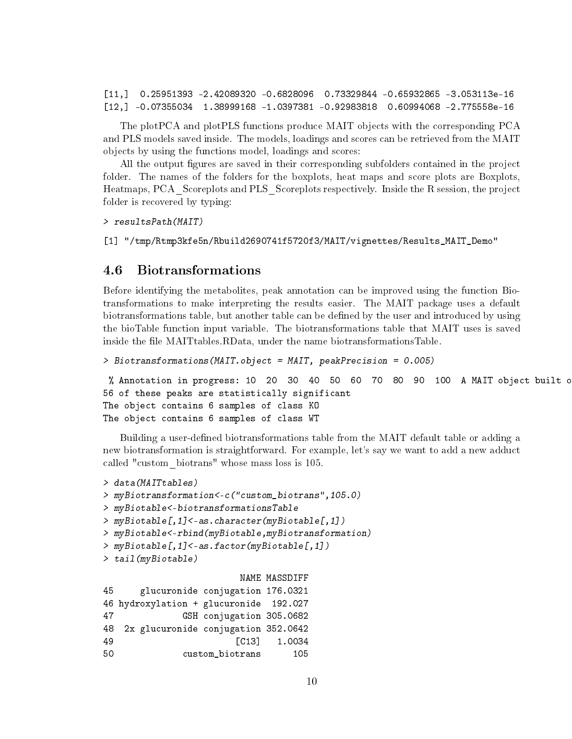[11,] 0.25951393 -2.42089320 -0.6828096 0.73329844 -0.65932865 -3.053113e-16 [12,] -0.07355034 1.38999168 -1.0397381 -0.92983818 0.60994068 -2.775558e-16

The plotPCA and plotPLS functions produce MAIT objects with the corresponding PCA and PLS models saved inside. The models, loadings and scores can be retrieved from the MAIT objects by using the functions model, loadings and scores:

All the output figures are saved in their corresponding subfolders contained in the project folder. The names of the folders for the boxplots, heat maps and score plots are Boxplots. Heatmaps, PCA\_Scoreplots and PLS\_Scoreplots respectively. Inside the R session, the project folder is recovered by typing:

> resultsPath(MAIT)

[1] "/tmp/Rtmp3kfe5n/Rbuild2690741f5720f3/MAIT/vignettes/Results\_MAIT\_Demo"

### <span id="page-9-0"></span>4.6 Biotransformations

Before identifying the metabolites, peak annotation can be improved using the function Biotransformations to make interpreting the results easier. The MAIT package uses a default biotransformations table, but another table can be defined by the user and introduced by using the bioTable function input variable. The biotransformations table that MAIT uses is saved inside the file MAITtables.RData, under the name biotransformationsTable.

```
> Biotransformations(MAIT.object = MAIT, peakPrecision = 0.005)
```
% Annotation in progress: 10 20 30 40 50 60 70 80 90 100 A MAIT object built c 56 of these peaks are statistically significant The object contains 6 samples of class KO The object contains 6 samples of class WT

Building a user-defined biotransformations table from the MAIT default table or adding a new biotransformation is straightforward. For example, let's say we want to add a new adduct called "custom\_biotrans" whose mass loss is 105.

```
> data(MAITtables)
> myBiotransformation<-c("custom_biotrans",105.0)
> myBiotable<-biotransformationsTable
> myBiotable[,1]<-as.character(myBiotable[,1])
> myBiotable<-rbind(myBiotable,myBiotransformation)
> myBiotable[,1]<-as.factor(myBiotable[,1])
> tail(myBiotable)
                       NAME MASSDIFF
45 glucuronide conjugation 176.0321
46 hydroxylation + glucuronide 192.027
47 GSH conjugation 305.0682
48 2x glucuronide conjugation 352.0642
49 [C13] 1.0034
50 custom_biotrans 105
```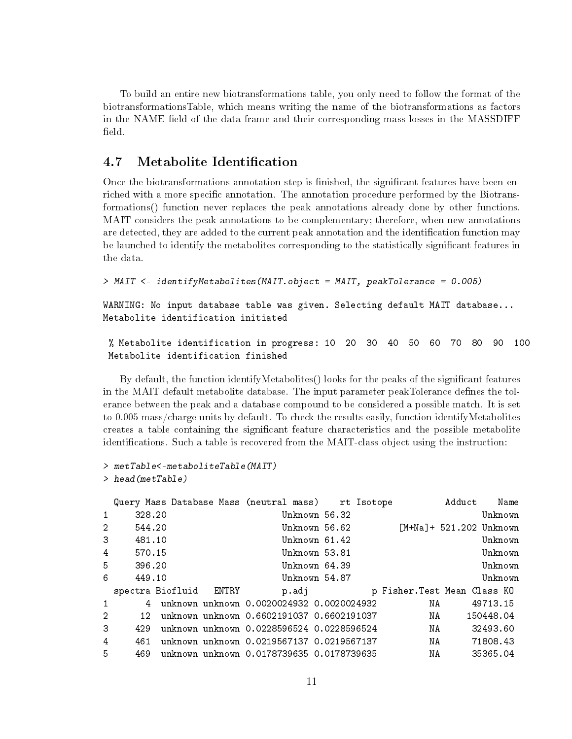To build an entire new biotransformations table, you only need to follow the format of the biotransformationsTable, which means writing the name of the biotransformations as factors in the NAME field of the data frame and their corresponding mass losses in the MASSDIFF field.

## 4.7 Metabolite Identification

Once the biotransformations annotation step is finished, the significant features have been enriched with a more specific annotation. The annotation procedure performed by the Biotransformations() function never replaces the peak annotations already done by other functions. MAIT considers the peak annotations to be complementary; therefore, when new annotations are detected, they are added to the current peak annotation and the identification function may be launched to identify the metabolites corresponding to the statistically significant features in the data.

```
> MAIT <- identifyMetabolites(MAIT.object = MAIT, peakTolerance = 0.005)
```
WARNING: No input database table was given. Selecting default MAIT database... Metabolite identification initiated

```
% Metabolite identification in progress: 10 20 30 40 50 60 70 80 90 100
Metabolite identification finished
```
By default, the function identifyMetabolites() looks for the peaks of the significant features in the MAIT default metabolite database. The input parameter peakTolerance defines the tolerance between the peak and a database compound to be considered a possible match. It is set to 0.005 mass/charge units by default. To check the results easily, function identifyMetabolites creates a table containing the signicant feature characteristics and the possible metabolite identifications. Such a table is recovered from the MAIT-class object using the instruction:

```
> metTable<-metaboliteTable(MAIT)
> head(metTable)
```

|                |                      |                        | Query Mass Database Mass (neutral mass) rt Isotope |               |                             | Adduct Name                                                                                                    |           |  |
|----------------|----------------------|------------------------|----------------------------------------------------|---------------|-----------------------------|----------------------------------------------------------------------------------------------------------------|-----------|--|
| $\mathbf{1}$   | 328.20               |                        |                                                    | Unknown 56.32 |                             |                                                                                                                | Unknown   |  |
| $\overline{2}$ | 544.20               |                        |                                                    | Unknown 56.62 | $[M+Na]+521.202$ Unknown    |                                                                                                                |           |  |
| 3 <sup>1</sup> | 481.10               |                        |                                                    | Unknown 61.42 |                             |                                                                                                                | Unknown   |  |
|                | $4\degree$<br>570.15 |                        |                                                    | Unknown 53.81 |                             |                                                                                                                | Unknown   |  |
|                | $5 -$<br>396.20      |                        |                                                    | Unknown 64.39 |                             |                                                                                                                | Unknown   |  |
| 6              | 449.10               |                        |                                                    | Unknown 54.87 |                             |                                                                                                                | Unknown   |  |
|                |                      | spectra Biofluid ENTRY |                                                    | p.adj bronde  | p Fisher.Test Mean Class KO |                                                                                                                |           |  |
| $\mathbf{1}$   |                      |                        | unknown unknown 0.0020024932 0.0020024932          |               | NA 1939.                    |                                                                                                                | 49713.15  |  |
| $\overline{2}$ | 12 <sub>1</sub>      |                        | unknown unknown 0.6602191037 0.6602191037          |               |                             | NA 1988.                                                                                                       | 150448.04 |  |
| 3              | 429                  |                        | unknown unknown 0.0228596524 0.0228596524          |               |                             | NA 1999 NASA 1999 NASA 1999 NASA 1999 NASA 1999 NASA 1999 NASA 1999 NASA 1999 NASA 1999 NASA 1999 NASA 1999 NA | 32493.60  |  |
| 4              | 461                  |                        | unknown unknown 0.0219567137 0.0219567137          |               |                             | NA                                                                                                             | 71808.43  |  |
| 5.             | 469                  |                        | unknown unknown 0.0178739635 0.0178739635          |               | NA                          |                                                                                                                | 35365.04  |  |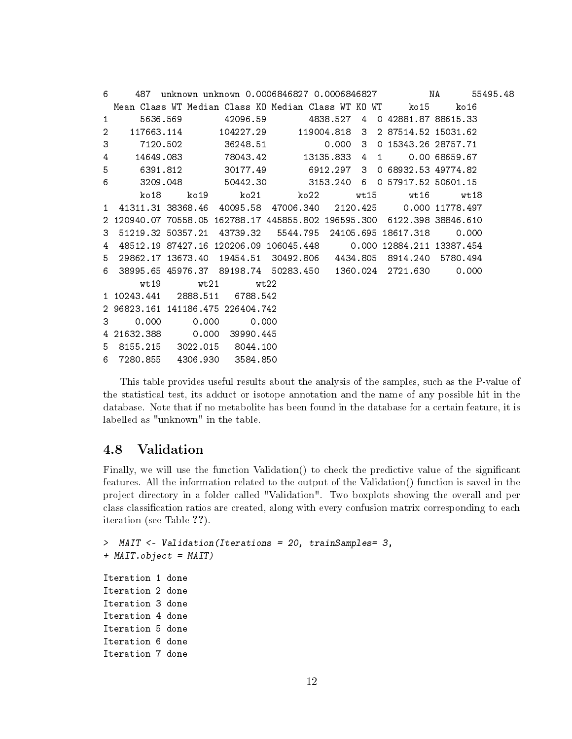| 6              | 487                  |       |                                                                         |  |   |                       |               |  |
|----------------|----------------------|-------|-------------------------------------------------------------------------|--|---|-----------------------|---------------|--|
|                |                      |       | Mean Class WT Median Class KO Median Class WT KO WT       ko15          |  |   |                       | ko16          |  |
| 1              |                      |       | 5636.569 42096.59 4838.527                                              |  |   | 4 0 42881.87 88615.33 |               |  |
| $\overline{2}$ |                      |       | $117663.114$ $104227.29$ $119004.818$ 3 2 87514.52 15031.62             |  |   |                       |               |  |
| 3              |                      |       | 7120.502     36248.51      0.000                                        |  | 3 | 0 15343.26 28757.71   |               |  |
| 4              |                      |       | 14649.083 78043.42 13135.833 4                                          |  |   | $1 \quad \Box$        | 0.00 68659.67 |  |
| 5              |                      |       | 6391.812 30177.49 6912.297 3 0 68932.53 49774.82                        |  |   |                       |               |  |
| 6              |                      |       | 3209.048   50442.30   3153.240   6   0 57917.52   50601.15              |  |   |                       |               |  |
|                |                      |       | ko18 ko19 ko21 ko22 wt15 wt16 wt18                                      |  |   |                       |               |  |
| $\mathbf{1}$   |                      |       | 41311.31 38368.46 40095.58 47006.340 2120.425 0.000 11778.497           |  |   |                       |               |  |
|                |                      |       | 2 120940.07 70558.05 162788.17 445855.802 196595.300 6122.398 38846.610 |  |   |                       |               |  |
| 3              |                      |       | 51219.32 50357.21 43739.32 5544.795 24105.695 18617.318 0.000           |  |   |                       |               |  |
| 4              |                      |       | 48512.19 87427.16 120206.09 106045.448 0.000 12884.211 13387.454        |  |   |                       |               |  |
| 5.             |                      |       | 29862.17 13673.40 19454.51 30492.806 4434.805 8914.240 5780.494         |  |   |                       |               |  |
|                |                      |       | 6 38995.65 45976.37 89198.74 50283.450 1360.024 2721.630 0.000          |  |   |                       |               |  |
|                | wt 19                |       | $wt21$ $wt22$                                                           |  |   |                       |               |  |
|                | 1 10243.441          |       | 2888.511 6788.542                                                       |  |   |                       |               |  |
|                |                      |       | 2 96823.161 141186.475 226404.742                                       |  |   |                       |               |  |
|                | 0.000<br>$3^{\circ}$ | 0.000 | 0.000                                                                   |  |   |                       |               |  |
|                |                      |       | 4 21632.388 0.000 39990.445                                             |  |   |                       |               |  |
|                | 5 8155.215           |       | 3022.015 8044.100                                                       |  |   |                       |               |  |
|                |                      |       | 6 7280.855 4306.930 3584.850                                            |  |   |                       |               |  |

This table provides useful results about the analysis of the samples, such as the P-value of the statistical test, its adduct or isotope annotation and the name of any possible hit in the database. Note that if no metabolite has been found in the database for a certain feature, it is labelled as "unknown" in the table.

## 4.8 Validation

Finally, we will use the function Validation() to check the predictive value of the signicant features. All the information related to the output of the Validation() function is saved in the project directory in a folder called "Validation". Two boxplots showing the overall and per class classification ratios are created, along with every confusion matrix corresponding to each iteration (see Table ??).

```
> MAIT <- Validation(Iterations = 20, trainSamples= 3,
+ MAIT.object = MAIT)
Iteration 1 done
Iteration 2 done
Iteration 3 done
Iteration 4 done
Iteration 5 done
Iteration 6 done
Iteration 7 done
```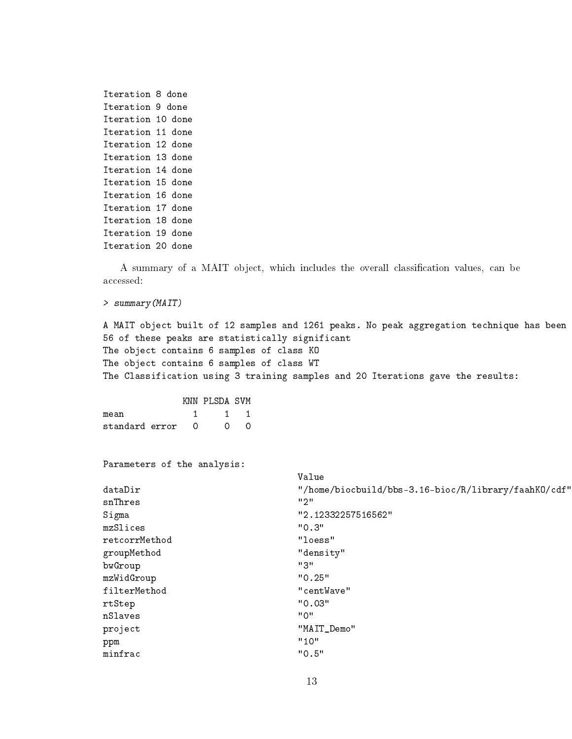```
Iteration 8 done
Iteration 9 done
Iteration 10 done
Iteration 11 done
Iteration 12 done
Iteration 13 done
Iteration 14 done
Iteration 15 done
Iteration 16 done
Iteration 17 done
Iteration 18 done
Iteration 19 done
Iteration 20 done
```
A summary of a MAIT object, which includes the overall classification values, can be accessed:

> summary(MAIT)

A MAIT object built of 12 samples and 1261 peaks. No peak aggregation technique has been 56 of these peaks are statistically significant The object contains 6 samples of class KO The object contains 6 samples of class WT The Classification using 3 training samples and 20 Iterations gave the results:

|                  |  | KNN PLSDA SVM |                |
|------------------|--|---------------|----------------|
| mean             |  |               | $\overline{1}$ |
| standard error 0 |  | $\Omega$      | $\cap$         |

Parameters of the analysis:

|               | Value                                                |
|---------------|------------------------------------------------------|
| dataDir       | "/home/biocbuild/bbs-3.16-bioc/R/library/faahKO/cdf" |
| snThres       | "2"                                                  |
| Sigma         | "2.12332257516562"                                   |
| mzSlices      | "0.3"                                                |
| retcorrMethod | "loess"                                              |
| groupMethod   | "density"                                            |
| bwGroup       | "3"                                                  |
| mzWidGroup    | "0.25"                                               |
| filterMethod  | "centWave"                                           |
| rtStep        | "0.03"                                               |
| nSlaves       | "0"                                                  |
| project       | "MAIT_Demo"                                          |
| ppm           | "10"                                                 |
| minfrac       | "0.5"                                                |
|               |                                                      |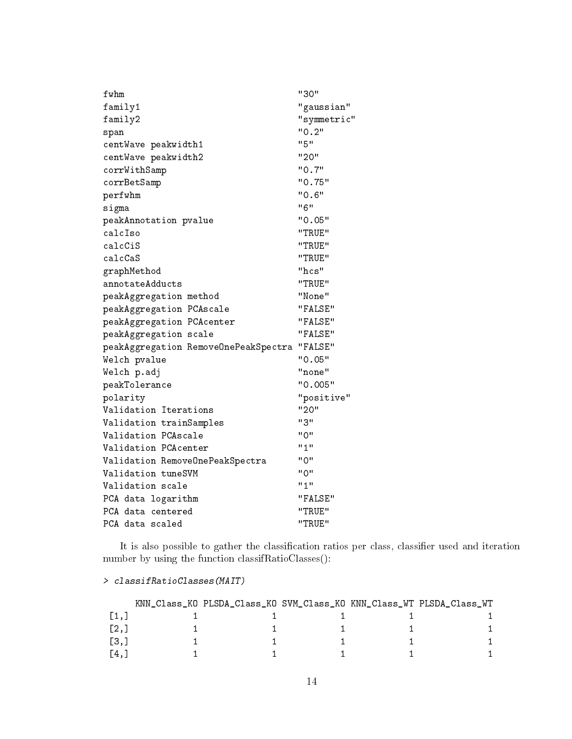| fwhm                                 | "30"        |
|--------------------------------------|-------------|
| family1                              | "gaussian"  |
| family2                              | "symmetric" |
| span                                 | "0.2"       |
| centWave peakwidth1                  | "5"         |
| centWave peakwidth2                  | "20"        |
| corrWithSamp                         | "0.7"       |
| corrBetSamp                          | "0.75"      |
| perfwhm                              | "0.6"       |
| sigma                                | "6"         |
| peakAnnotation pvalue                | "0.05"      |
| calcIso                              | "TRUE"      |
| calcCiS                              | "TRUE"      |
| calcCaS                              | "TRUE"      |
| graphMethod                          | "hcs"       |
| annotateAdducts                      | "TRUE"      |
| peakAggregation method               | "None"      |
| peakAggregation PCAscale             | "FALSE"     |
| peakAggregation PCAcenter            | "FALSE"     |
| peakAggregation scale                | "FALSE"     |
| peakAggregation RemoveOnePeakSpectra | "FALSE"     |
| Welch pvalue                         | "0.05"      |
| Welch p.adj                          | "none"      |
| ${\tt peakTolerance}$                | "0.005"     |
| polarity                             | "positive"  |
| Validation Iterations                | "20"        |
| Validation trainSamples              | "3"         |
| Validation PCAscale                  | "0"         |
| Validation PCAcenter                 | "1"         |
| Validation RemoveOnePeakSpectra      | יי 0"       |
| Validation tuneSVM                   | "0"         |
| Validation scale                     | "1"         |
| PCA data logarithm                   | "FALSE"     |
| PCA data centered                    | "TRUE"      |
| PCA data scaled                      | "TRUE"      |

It is also possible to gather the classification ratios per class, classifier used and iteration number by using the function classifRatioClasses():

|                             | KNN_Class_KO PLSDA_Class_KO SVM_Class_KO KNN_Class_WT PLSDA_Class_WT |  |  |
|-----------------------------|----------------------------------------------------------------------|--|--|
| $\lceil 1 \, \ldots \rceil$ |                                                                      |  |  |
| $\left[2, \right]$          |                                                                      |  |  |
| [3,]                        |                                                                      |  |  |
| [4.1                        |                                                                      |  |  |

> classifRatioClasses(MAIT)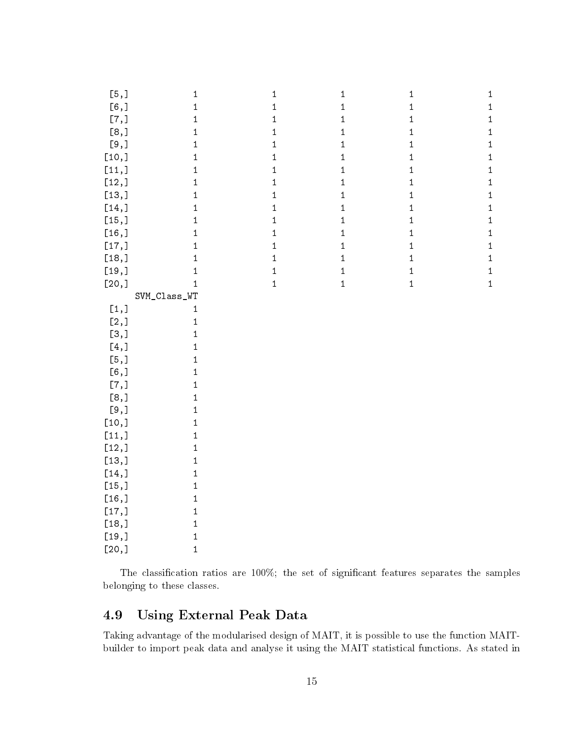| [5,]                | $\,1$        | $\,1\,$     | $\mathbf 1$  | $\mathbf{1}$ | $\mathbf{1}$ |
|---------------------|--------------|-------------|--------------|--------------|--------------|
| [6,]                | $\mathbf 1$  | $\,1$       | $\mathbf 1$  | $\mathbf 1$  | $\mathbf 1$  |
| $[7,]$              | $\mathbf 1$  | $\,1$       | $\,1\,$      | $\mathbf 1$  | $\,1\,$      |
| [8,]                | $\mathbf 1$  | $\,1$       | $\,1$        | $\mathbf 1$  | $\,1$        |
| [9,]                | $\mathbf 1$  | $\,1$       | $\,1\,$      | $\,1\,$      | $\mathbf{1}$ |
| [10,]               | $\mathbf 1$  | $\,1$       | $\mathbf 1$  | $\mathbf 1$  | $\mathbf 1$  |
| [11,]               | $\mathbf{1}$ | $\,1$       | $\mathbf 1$  | $\,1\,$      | $\mathbf 1$  |
| [12,]               | $\mathbf{1}$ | $\mathbf 1$ | $\mathbf 1$  | $\mathbf 1$  | $\mathbf 1$  |
| [13,]               | $\mathbf{1}$ | $\,1$       | $\mathbf 1$  | $\mathbf 1$  | $\mathbf 1$  |
| $[14,]$             | $\mathbf{1}$ | $\mathbf 1$ | $\mathbf 1$  | $\mathbf 1$  | $\mathbf 1$  |
| [15,]               | $\mathbf 1$  | $\mathbf 1$ | $\mathbf 1$  | $\,1\,$      | $\mathbf 1$  |
| [16,]               | $\mathbf 1$  | $\mathbf 1$ | $\mathbf 1$  | $\mathbf 1$  | $\mathbf 1$  |
| [17,]               | $\mathbf{1}$ | $\,1$       | $\mathbf 1$  | $\mathbf 1$  | $\mathbf 1$  |
| [18,]               | $\,1\,$      | $\mathbf 1$ | $\mathbf 1$  | $\mathbf 1$  | $\,1$        |
| $[19,]$             | $\mathbf{1}$ | $\mathbf 1$ | $\mathbf 1$  | $\mathbf 1$  | $\,1$        |
| [20,]               | $\mathbf{1}$ | $\mathbf 1$ | $\mathbf{1}$ | $\mathbf 1$  | $\mathbf 1$  |
|                     | SVM_Class_WT |             |              |              |              |
| [1,]                | $\mathbf{1}$ |             |              |              |              |
| $[2,]$              | $\,1$        |             |              |              |              |
| [3,]                | $\,1$        |             |              |              |              |
| $[4,]$              | $\,1$        |             |              |              |              |
| $\left[ 5, \right]$ | $\,1\,$      |             |              |              |              |
| [6,1]               | $\,1$        |             |              |              |              |
| $[7,]$              | $\,1$        |             |              |              |              |
| [8,]                | $\,1$        |             |              |              |              |
| $[9,]$              | $\,1$        |             |              |              |              |
| [10,]               | $\,1$        |             |              |              |              |
| $[11,$              | $\,1$        |             |              |              |              |
| [12,]               | $\mathbf 1$  |             |              |              |              |
| [13,]               | $\mathbf 1$  |             |              |              |              |
| [14,]               | $\mathbf 1$  |             |              |              |              |
| [15,]               | $\mathbf 1$  |             |              |              |              |
| [16,]               | $\mathbf 1$  |             |              |              |              |
| [17,]               | $\mathbf 1$  |             |              |              |              |
| [18,]               | $\mathbf{1}$ |             |              |              |              |
| [19,]               | $\mathbf{1}$ |             |              |              |              |
| [20,]               | $\mathbf{1}$ |             |              |              |              |

The classification ratios are  $100\%$ ; the set of significant features separates the samples belonging to these classes.

## 4.9 Using External Peak Data

Taking advantage of the modularised design of MAIT, it is possible to use the function MAITbuilder to import peak data and analyse it using the MAIT statistical functions. As stated in